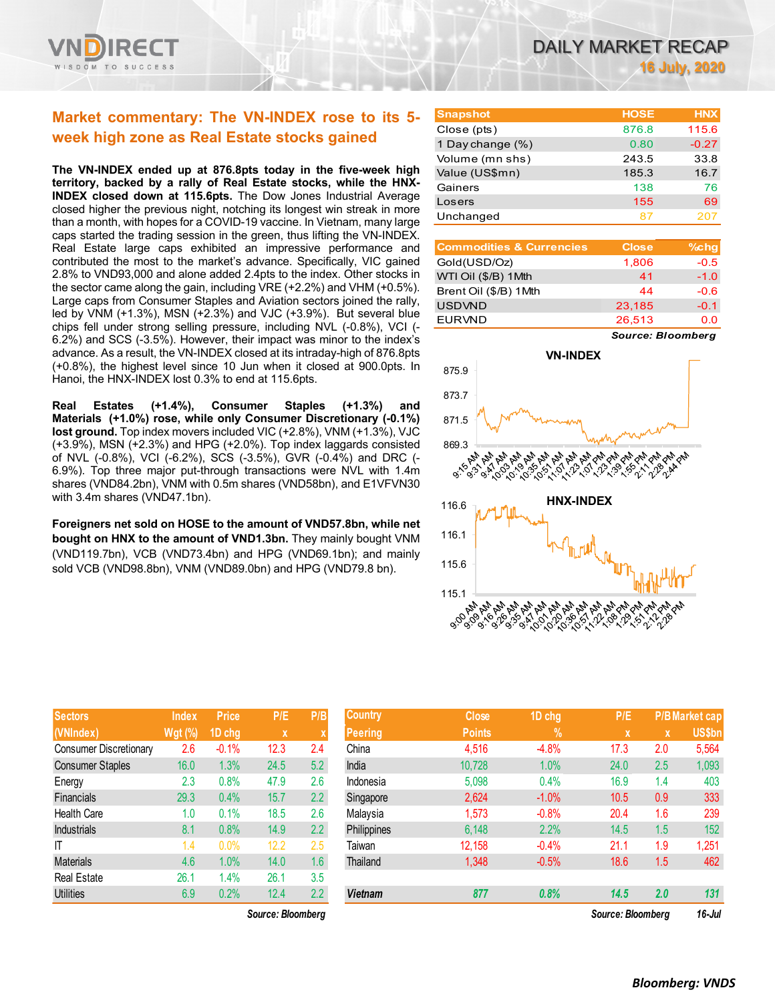

# **Market commentary: The VN-INDEX rose to its 5 week high zone as Real Estate stocks gained**

**The VN-INDEX ended up at 876.8pts today in the five-week high territory, backed by a rally of Real Estate stocks, while the HNX-INDEX closed down at 115.6pts.** The Dow Jones Industrial Average closed higher the previous night, notching its longest win streak in more than a month, with hopes for a COVID-19 vaccine. In Vietnam, many large caps started the trading session in the green, thus lifting the VN-INDEX. Real Estate large caps exhibited an impressive performance and contributed the most to the market's advance. Specifically, VIC gained 2.8% to VND93,000 and alone added 2.4pts to the index. Other stocks in the sector came along the gain, including VRE (+2.2%) and VHM (+0.5%). Large caps from Consumer Staples and Aviation sectors joined the rally, led by VNM (+1.3%), MSN (+2.3%) and VJC (+3.9%). But several blue chips fell under strong selling pressure, including NVL (-0.8%), VCI (- 6.2%) and SCS (-3.5%). However, their impact was minor to the index's advance. As a result, the VN-INDEX closed at its intraday-high of 876.8pts (+0.8%), the highest level since 10 Jun when it closed at 900.0pts. In Hanoi, the HNX-INDEX lost 0.3% to end at 115.6pts.

**Real Estates (+1.4%), Consumer Staples (+1.3%) and Materials (+1.0%) rose, while only Consumer Discretionary (-0.1%) lost ground.** Top index movers included VIC (+2.8%), VNM (+1.3%), VJC (+3.9%), MSN (+2.3%) and HPG (+2.0%). Top index laggards consisted of NVL (-0.8%), VCI (-6.2%), SCS (-3.5%), GVR (-0.4%) and DRC (- 6.9%). Top three major put-through transactions were NVL with 1.4m shares (VND84.2bn), VNM with 0.5m shares (VND58bn), and E1VFVN30 with 3.4m shares (VND47.1bn).

**Foreigners net sold on HOSE to the amount of VND57.8bn, while net bought on HNX to the amount of VND1.3bn.** They mainly bought VNM (VND119.7bn), VCB (VND73.4bn) and HPG (VND69.1bn); and mainly sold VCB (VND98.8bn), VNM (VND89.0bn) and HPG (VND79.8 bn).

| <b>Sectors</b>                | <b>Index</b>   | <b>Price</b> | P/E  | P/B     |
|-------------------------------|----------------|--------------|------|---------|
| (VNIndex)                     | <b>Wgt (%)</b> | 1D chg       | X    | X       |
| <b>Consumer Discretionary</b> | 2.6            | $-0.1%$      | 12.3 | 2.4     |
| <b>Consumer Staples</b>       | 16.0           | 1.3%         | 24.5 | 5.2     |
| Energy                        | 2.3            | 0.8%         | 47.9 | 2.6     |
| <b>Financials</b>             | 29.3           | 0.4%         | 15.7 | 2.2     |
| <b>Health Care</b>            | 1.0            | 0.1%         | 18.5 | 2.6     |
| <b>Industrials</b>            | 8.1            | 0.8%         | 14.9 | 2.2     |
| ΙT                            | 1.4            | 0.0%         | 12.2 | 2.5     |
| <b>Materials</b>              | 4.6            | 1.0%         | 14.0 | 1.6     |
| <b>Real Estate</b>            | 26.1           | 1.4%         | 26.1 | 3.5     |
| <b>Utilities</b>              | 6.9            | 0.2%         | 12.4 | $2.2\,$ |

*Source: Bloomberg Source: Bloomberg 16-Jul*

| <b>Snapshot</b>  | <b>HOSE</b> | <b>HNX</b> |
|------------------|-------------|------------|
| Close (pts)      | 876.8       | 115.6      |
| 1 Day change (%) | 0.80        | $-0.27$    |
| Volume (mn shs)  | 243.5       | 33.8       |
| Value (US\$mn)   | 185.3       | 16.7       |
| Gainers          | 138         | 76         |
| Losers           | 155         | 69         |
| Unchanged        | 87          | 207        |

| <b>Commodities &amp; Currencies</b> | <b>Close</b> | $%$ chg |
|-------------------------------------|--------------|---------|
| Gold(USD/Oz)                        | 1,806        | $-0.5$  |
| WTI Oil (\$/B) 1Mth                 | 41           | $-1.0$  |
| Brent Oil (\$/B) 1Mth               | 44           | $-0.6$  |
| <b>USDVND</b>                       | 23,185       | $-0.1$  |
| <b>EURVND</b>                       | 26.513       | 0.O     |

*Source: Bloomberg*



| <b>Sectors</b>          | <b>Index</b>   | <b>Price</b> | P/E               | P/B           | <b>Country</b> | <b>Close</b>  | 1D chg        | P/E               |             | <b>P/B Market cap</b> |
|-------------------------|----------------|--------------|-------------------|---------------|----------------|---------------|---------------|-------------------|-------------|-----------------------|
| (VNIndex)               | <b>Wgt (%)</b> | 1D chg       | X                 |               | <b>Peering</b> | <b>Points</b> | $\frac{9}{6}$ | $\mathbf x$       | $\mathbf x$ | <b>US\$bn</b>         |
| Consumer Discretionary  | 2.6            | $-0.1%$      | 12.3              | 2.4           | China          | 4,516         | $-4.8%$       | 17.3              | 2.0         | 5,564                 |
| <b>Consumer Staples</b> | 16.0           | 1.3%         | 24.5              | 5.2           | India          | 10,728        | 1.0%          | 24.0              | 2.5         | 1,093                 |
| Energy                  | 2.3            | 0.8%         | 47.9              | 2.6           | Indonesia      | 5,098         | 0.4%          | 16.9              | 1.4         | 403                   |
| Financials              | 29.3           | 0.4%         | 15.7              | $2.2^{\circ}$ | Singapore      | 2,624         | $-1.0%$       | 10.5              | 0.9         | 333                   |
| <b>Health Care</b>      | 1.0            | 0.1%         | 18.5              | 2.6           | Malaysia       | 1,573         | $-0.8%$       | 20.4              | 1.6         | 239                   |
| Industrials             | 8.1            | 0.8%         | 14.9              | $2.2^{\circ}$ | Philippines    | 6,148         | 2.2%          | 14.5              | 1.5         | 152                   |
| Т                       | 1.4            | 0.0%         | 12.2              | 2.5           | Taiwan         | 12,158        | $-0.4%$       | 21.1              | 1.9         | 1,251                 |
| Materials               | 4.6            | 1.0%         | 14.0              | 1.6           | Thailand       | 1,348         | $-0.5%$       | 18.6              | 1.5         | 462                   |
| Real Estate             | 26.1           | 1.4%         | 26.1              | 3.5           |                |               |               |                   |             |                       |
| Utilities               | 6.9            | 0.2%         | 12.4              | 2.2           | <b>Vietnam</b> | 877           | 0.8%          | 14.5              | 2.0         | 131                   |
|                         |                |              | Source: Bloomberg |               |                |               |               | Source: Bloomberg |             | $16$ -Jul             |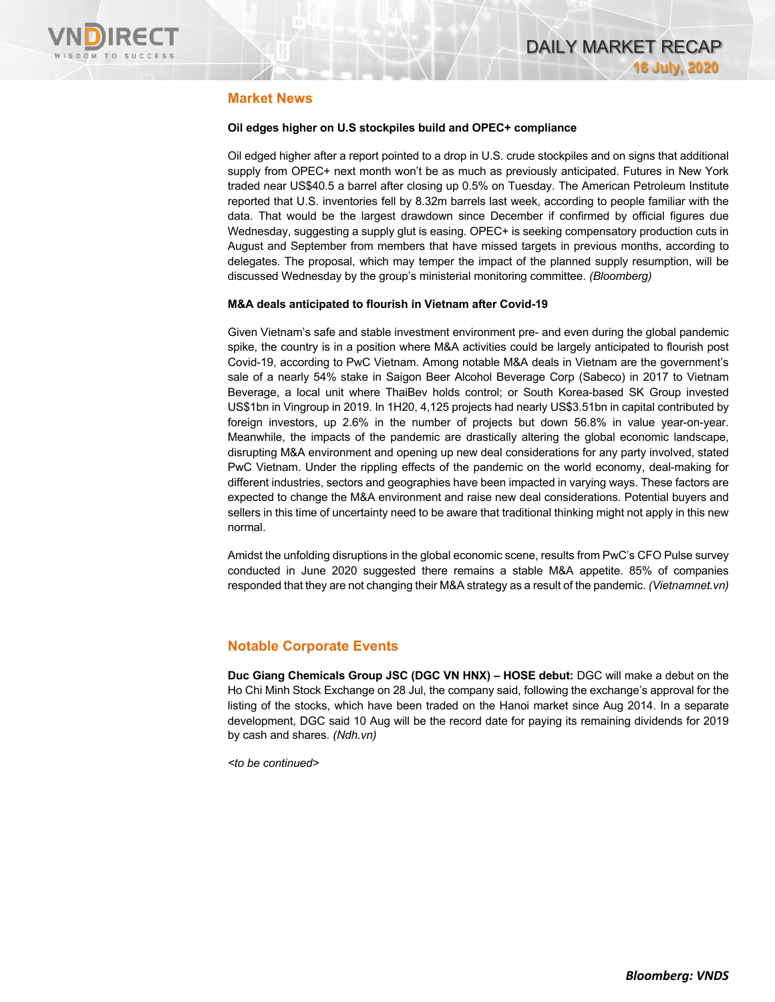

### **Market News**

#### **Oil edges higher on U.S stockpiles build and OPEC+ compliance**

Oil edged higher after a report pointed to a drop in U.S. crude stockpiles and on signs that additional supply from OPEC+ next month won't be as much as previously anticipated. Futures in New York traded near US\$40.5 a barrel after closing up 0.5% on Tuesday. The American Petroleum Institute reported that U.S. inventories fell by 8.32m barrels last week, according to people familiar with the data. That would be the largest drawdown since December if confirmed by official figures due Wednesday, suggesting a supply glut is easing. OPEC+ is seeking compensatory production cuts in August and September from members that have missed targets in previous months, according to delegates. The proposal, which may temper the impact of the planned supply resumption, will be discussed Wednesday by the group's ministerial monitoring committee. *(Bloomberg)*

#### **M&A deals anticipated to flourish in Vietnam after Covid-19**

Given Vietnam's safe and stable investment environment pre- and even during the global pandemic spike, the country is in a position where M&A activities could be largely anticipated to flourish post Covid-19, according to PwC Vietnam. Among notable M&A deals in Vietnam are the government's sale of a nearly 54% stake in Saigon Beer Alcohol Beverage Corp (Sabeco) in 2017 to Vietnam Beverage, a local unit where ThaiBev holds control; or South Korea-based SK Group invested US\$1bn in Vingroup in 2019. In 1H20, 4,125 projects had nearly US\$3.51bn in capital contributed by foreign investors, up 2.6% in the number of projects but down 56.8% in value year-on-year. Meanwhile, the impacts of the pandemic are drastically altering the global economic landscape, disrupting M&A environment and opening up new deal considerations for any party involved, stated PwC Vietnam. Under the rippling effects of the pandemic on the world economy, deal-making for different industries, sectors and geographies have been impacted in varying ways. These factors are expected to change the M&A environment and raise new deal considerations. Potential buyers and sellers in this time of uncertainty need to be aware that traditional thinking might not apply in this new normal.

Amidst the unfolding disruptions in the global economic scene, results from PwC's CFO Pulse survey conducted in June 2020 suggested there remains a stable M&A appetite. 85% of companies responded that they are not changing their M&A strategy as a result of the pandemic. *(Vietnamnet.vn)*

### **Notable Corporate Events**

**Duc Giang Chemicals Group JSC (DGC VN HNX) – HOSE debut:** DGC will make a debut on the Ho Chi Minh Stock Exchange on 28 Jul, the company said, following the exchange's approval for the listing of the stocks, which have been traded on the Hanoi market since Aug 2014. In a separate development, DGC said 10 Aug will be the record date for paying its remaining dividends for 2019 by cash and shares. *(Ndh.vn)*

*<to be continued>*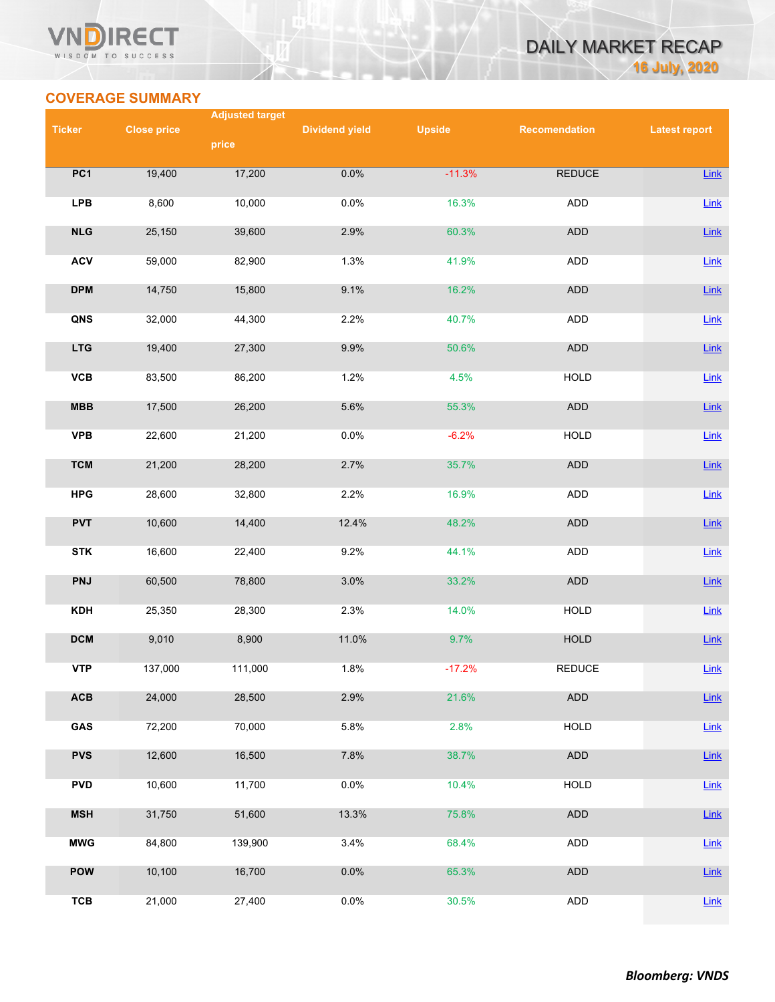### **VN** RECT WISDOM TO SUCCESS



## **COVERAGE SUMMARY**

|                 | <b>Adjusted target</b> |         |                       |               |                      |                      |  |  |
|-----------------|------------------------|---------|-----------------------|---------------|----------------------|----------------------|--|--|
| <b>Ticker</b>   | <b>Close price</b>     | price   | <b>Dividend yield</b> | <b>Upside</b> | <b>Recomendation</b> | <b>Latest report</b> |  |  |
|                 |                        |         |                       |               |                      |                      |  |  |
| PC <sub>1</sub> | 19,400                 | 17,200  | 0.0%                  | $-11.3%$      | <b>REDUCE</b>        | Link                 |  |  |
| <b>LPB</b>      | 8,600                  | 10,000  | 0.0%                  | 16.3%         | ADD                  | Link                 |  |  |
| NLG             | 25,150                 | 39,600  | 2.9%                  | 60.3%         | ADD                  | Link                 |  |  |
| <b>ACV</b>      | 59,000                 | 82,900  | 1.3%                  | 41.9%         | ADD                  | $Link$               |  |  |
| <b>DPM</b>      | 14,750                 | 15,800  | 9.1%                  | 16.2%         | <b>ADD</b>           | $Link$               |  |  |
| QNS             | 32,000                 | 44,300  | 2.2%                  | 40.7%         | ADD                  | Link                 |  |  |
| <b>LTG</b>      | 19,400                 | 27,300  | 9.9%                  | 50.6%         | <b>ADD</b>           | $Link$               |  |  |
| VCB             | 83,500                 | 86,200  | 1.2%                  | 4.5%          | <b>HOLD</b>          | Link                 |  |  |
| MBB             | 17,500                 | 26,200  | 5.6%                  | 55.3%         | <b>ADD</b>           | $Link$               |  |  |
| <b>VPB</b>      | 22,600                 | 21,200  | 0.0%                  | $-6.2%$       | <b>HOLD</b>          | $Link$               |  |  |
| <b>TCM</b>      | 21,200                 | 28,200  | 2.7%                  | 35.7%         | <b>ADD</b>           | Link                 |  |  |
| <b>HPG</b>      | 28,600                 | 32,800  | 2.2%                  | 16.9%         | ADD                  | Link                 |  |  |
| <b>PVT</b>      | 10,600                 | 14,400  | 12.4%                 | 48.2%         | <b>ADD</b>           | Link                 |  |  |
| <b>STK</b>      | 16,600                 | 22,400  | 9.2%                  | 44.1%         | ADD                  | $Link$               |  |  |
| <b>PNJ</b>      | 60,500                 | 78,800  | 3.0%                  | 33.2%         | ADD                  | Link                 |  |  |
| <b>KDH</b>      | 25,350                 | 28,300  | 2.3%                  | 14.0%         | HOLD                 | $Link$               |  |  |
| <b>DCM</b>      | 9,010                  | 8,900   | 11.0%                 | 9.7%          | HOLD                 | $Link$               |  |  |
| <b>VTP</b>      | 137,000                | 111,000 | 1.8%                  | $-17.2%$      | <b>REDUCE</b>        | $Link$               |  |  |
| ACB             | 24,000                 | 28,500  | 2.9%                  | 21.6%         | <b>ADD</b>           | <b>Link</b>          |  |  |
| GAS             | 72,200                 | 70,000  | 5.8%                  | 2.8%          | HOLD                 | $Link$               |  |  |
| <b>PVS</b>      | 12,600                 | 16,500  | 7.8%                  | 38.7%         | ADD                  | $Link$               |  |  |
| <b>PVD</b>      | 10,600                 | 11,700  | 0.0%                  | 10.4%         | <b>HOLD</b>          | $Link$               |  |  |
| <b>MSH</b>      | 31,750                 | 51,600  | 13.3%                 | 75.8%         | ADD                  | Link                 |  |  |
| <b>MWG</b>      | 84,800                 | 139,900 | 3.4%                  | 68.4%         | ADD                  | $Link$               |  |  |
| POW             | 10,100                 | 16,700  | 0.0%                  | 65.3%         | ADD                  | Link                 |  |  |
| <b>TCB</b>      | 21,000                 | 27,400  | 0.0%                  | 30.5%         | ADD                  | $Link$               |  |  |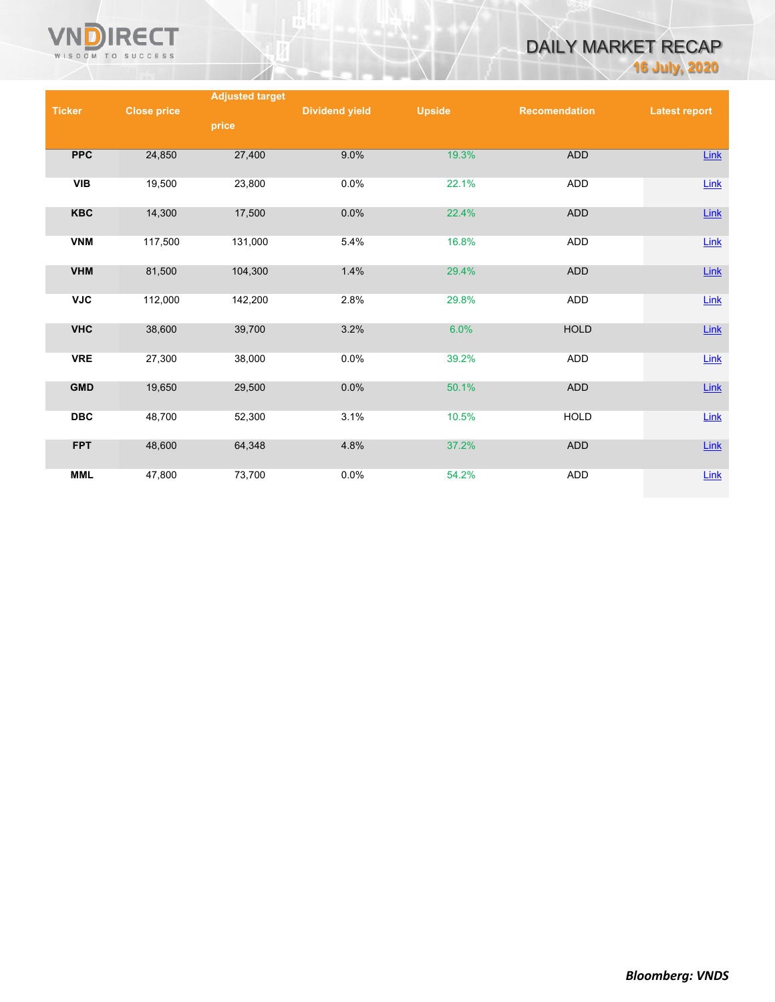

# DAILY MARKET RECAP **16 July, 2020**

|               |                    | <b>Adjusted target</b> |                       |               |                      |                      |
|---------------|--------------------|------------------------|-----------------------|---------------|----------------------|----------------------|
| <b>Ticker</b> | <b>Close price</b> |                        | <b>Dividend yield</b> | <b>Upside</b> | <b>Recomendation</b> | <b>Latest report</b> |
|               |                    | price                  |                       |               |                      |                      |
|               |                    |                        |                       |               |                      |                      |
| <b>PPC</b>    | 24,850             | 27,400                 | 9.0%                  | 19.3%         | ADD                  | <b>Link</b>          |
|               |                    |                        |                       |               |                      |                      |
| <b>VIB</b>    | 19,500             | 23,800                 | 0.0%                  | 22.1%         | ADD                  | Link                 |
|               |                    |                        |                       |               |                      |                      |
| <b>KBC</b>    | 14,300             | 17,500                 | 0.0%                  | 22.4%         | <b>ADD</b>           | $Link$               |
|               |                    |                        |                       |               |                      |                      |
| <b>VNM</b>    | 117,500            | 131,000                | 5.4%                  | 16.8%         | ADD                  | Link                 |
| <b>VHM</b>    | 81,500             | 104,300                | 1.4%                  | 29.4%         | <b>ADD</b>           | $Link$               |
|               |                    |                        |                       |               |                      |                      |
| <b>VJC</b>    | 112,000            | 142,200                | 2.8%                  | 29.8%         | <b>ADD</b>           | Link                 |
|               |                    |                        |                       |               |                      |                      |
| <b>VHC</b>    | 38,600             | 39,700                 | 3.2%                  | 6.0%          | <b>HOLD</b>          | <b>Link</b>          |
|               |                    |                        |                       |               |                      |                      |
| <b>VRE</b>    | 27,300             | 38,000                 | 0.0%                  | 39.2%         | ADD                  | Link                 |
|               |                    |                        |                       |               |                      |                      |
| <b>GMD</b>    | 19,650             | 29,500                 | 0.0%                  | 50.1%         | <b>ADD</b>           | $Link$               |
|               |                    |                        |                       |               |                      |                      |
| <b>DBC</b>    | 48,700             | 52,300                 | 3.1%                  | 10.5%         | <b>HOLD</b>          | Link                 |
|               |                    |                        |                       |               |                      |                      |
| <b>FPT</b>    | 48,600             | 64,348                 | 4.8%                  | 37.2%         | <b>ADD</b>           | <b>Link</b>          |
|               |                    |                        |                       |               |                      |                      |
| <b>MML</b>    | 47,800             | 73,700                 | 0.0%                  | 54.2%         | <b>ADD</b>           | <b>Link</b>          |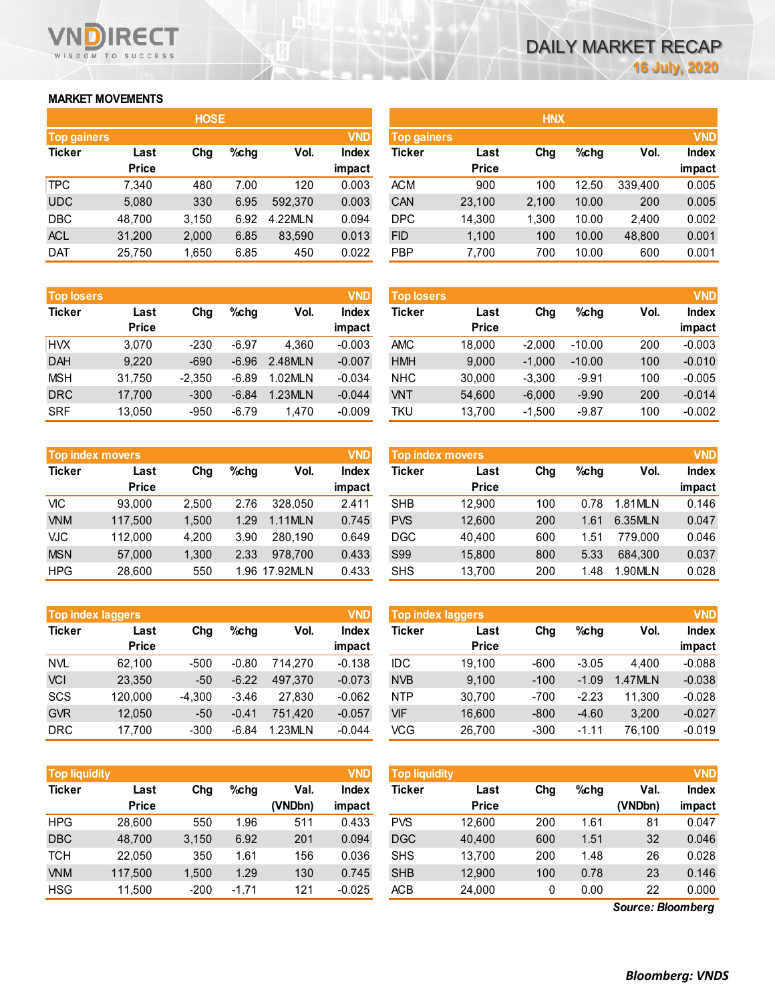### **MARKET MOVEMENTS**

WISDOM TO SUCCESS

**RECT** 

|                    |              | <b>HOSE</b> |         |         |            | <b>HNX</b>    |              |       |         |         |        |
|--------------------|--------------|-------------|---------|---------|------------|---------------|--------------|-------|---------|---------|--------|
| <b>Top gainers</b> |              |             |         |         | <b>VND</b> |               | Top gainers  |       |         |         |        |
| <b>Ticker</b>      | Last         | Chg         | $%$ chg | Vol.    | Index      | <b>Ticker</b> | Last         | Chg   | $%$ chg | Vol.    | Index  |
|                    | <b>Price</b> |             |         |         | impact     |               | <b>Price</b> |       |         |         | impact |
| <b>TPC</b>         | 7.340        | 480         | 7.00    | 120     | 0.003      | <b>ACM</b>    | 900          | 100   | 12.50   | 339,400 | 0.005  |
| <b>UDC</b>         | 5,080        | 330         | 6.95    | 592,370 | 0.003      | CAN           | 23,100       | 2,100 | 10.00   | 200     | 0.005  |
| <b>DBC</b>         | 48,700       | 3.150       | 6.92    | 4.22MLN | 0.094      | <b>DPC</b>    | 14.300       | 1.300 | 10.00   | 2.400   | 0.002  |
| <b>ACL</b>         | 31,200       | 2,000       | 6.85    | 83,590  | 0.013      | <b>FID</b>    | 1,100        | 100   | 10.00   | 48,800  | 0.001  |
| <b>DAT</b>         | 25,750       | 1,650       | 6.85    | 450     | 0.022      | <b>PBP</b>    | 7,700        | 700   | 10.00   | 600     | 0.001  |

| <b>Top losers</b> |              |          |         |         | <b>VND</b>   |
|-------------------|--------------|----------|---------|---------|--------------|
| <b>Ticker</b>     | Last         | Cha      | $%$ chq | Vol.    | <b>Index</b> |
|                   | <b>Price</b> |          |         |         | impact       |
| <b>HVX</b>        | 3.070        | $-230$   | $-6.97$ | 4.360   | $-0.003$     |
| <b>DAH</b>        | 9.220        | $-690$   | $-6.96$ | 2.48MLN | $-0.007$     |
| <b>MSH</b>        | 31,750       | $-2,350$ | $-6.89$ | 1.02MLN | $-0.034$     |
| <b>DRC</b>        | 17,700       | $-300$   | $-6.84$ | 1.23MLN | $-0.044$     |
| <b>SRF</b>        | 13,050       | $-950$   | $-6.79$ | 1,470   | $-0.009$     |

| <b>Top index movers</b><br>$%$ chg |              |       |      |               |        |  |  |  |  |  |
|------------------------------------|--------------|-------|------|---------------|--------|--|--|--|--|--|
| <b>Ticker</b>                      | Last         | Cha   |      | Vol.          | Index  |  |  |  |  |  |
|                                    | <b>Price</b> |       |      |               | impact |  |  |  |  |  |
| VIC                                | 93,000       | 2,500 | 2.76 | 328,050       | 2.411  |  |  |  |  |  |
| <b>VNM</b>                         | 117,500      | 1,500 | 1.29 | 1.11MLN       | 0.745  |  |  |  |  |  |
| <b>VJC</b>                         | 112,000      | 4,200 | 3.90 | 280,190       | 0.649  |  |  |  |  |  |
| <b>MSN</b>                         | 57,000       | 1,300 | 2.33 | 978,700       | 0.433  |  |  |  |  |  |
| <b>HPG</b>                         | 28,600       | 550   |      | 1.96 17.92MLN | 0.433  |  |  |  |  |  |

| <b>Top index laggers</b> |              |          |         |         | <b>VND</b>   |
|--------------------------|--------------|----------|---------|---------|--------------|
| <b>Ticker</b>            | Last         | Cha      | $%$ chq | Vol.    | <b>Index</b> |
|                          | <b>Price</b> |          |         |         | impact       |
| <b>NVL</b>               | 62,100       | $-500$   | $-0.80$ | 714.270 | $-0.138$     |
| <b>VCI</b>               | 23,350       | $-50$    | $-6.22$ | 497,370 | $-0.073$     |
| <b>SCS</b>               | 120,000      | $-4,300$ | $-3.46$ | 27,830  | $-0.062$     |
| <b>GVR</b>               | 12,050       | $-50$    | $-0.41$ | 751.420 | $-0.057$     |
| <b>DRC</b>               | 17.700       | $-300$   | $-6.84$ | 1.23MLN | $-0.044$     |

|                    |              | <b>HOSE</b> |         |         |              |            |                                  | <b>HNX'</b> |         |         |              |
|--------------------|--------------|-------------|---------|---------|--------------|------------|----------------------------------|-------------|---------|---------|--------------|
| <b>Top gainers</b> |              |             |         |         | <b>VND</b>   |            | <b>VND</b><br><b>Top gainers</b> |             |         |         |              |
| Ticker             | Last         | Chg         | $%$ chg | Vol.    | <b>Index</b> | Ticker     | Last                             | Chg         | $%$ chg | Vol.    | <b>Index</b> |
|                    | <b>Price</b> |             |         |         | impact       |            | <b>Price</b>                     |             |         |         | impact       |
| TPC                | 7,340        | 480         | 7.00    | 120     | 0.003        | <b>ACM</b> | 900                              | 100         | 12.50   | 339.400 | 0.005        |
| UDC                | 5,080        | 330         | 6.95    | 592,370 | 0.003        | CAN        | 23,100                           | 2,100       | 10.00   | 200     | 0.005        |
| DBC                | 48.700       | 3.150       | 6.92    | 4.22MLN | 0.094        | <b>DPC</b> | 14,300                           | 1.300       | 10.00   | 2.400   | 0.002        |
| <b>ACL</b>         | 31,200       | 2,000       | 6.85    | 83,590  | 0.013        | <b>FID</b> | 1,100                            | 100         | 10.00   | 48,800  | 0.001        |
| DAT                | 25.750       | 1.650       | 6.85    | 450     | 0.022        | <b>PBP</b> | 7.700                            | 700         | 10.00   | 600     | 0.001        |

| <b>Top losers</b> |              |          |         |         | <b>VND</b>   | <b>Top losers</b> |              |          |          |      | <b>VND</b>   |
|-------------------|--------------|----------|---------|---------|--------------|-------------------|--------------|----------|----------|------|--------------|
| Ticker            | Last         | Chg      | $%$ chg | Vol.    | <b>Index</b> | Ticker            | Last         | Chg      | $%$ chg  | Vol. | <b>Index</b> |
|                   | <b>Price</b> |          |         |         | impact       |                   | <b>Price</b> |          |          |      | impact       |
| HVX               | 3.070        | $-230$   | $-6.97$ | 4.360   | $-0.003$     | <b>AMC</b>        | 18.000       | $-2.000$ | $-10.00$ | 200  | $-0.003$     |
| DAH               | 9,220        | $-690$   | $-6.96$ | 2.48MLN | $-0.007$     | <b>HMH</b>        | 9.000        | $-1.000$ | $-10.00$ | 100  | $-0.010$     |
| MSH               | 31,750       | $-2.350$ | $-6.89$ | 1.02MLN | $-0.034$     | <b>NHC</b>        | 30,000       | $-3.300$ | $-9.91$  | 100  | $-0.005$     |
| DRC               | 17.700       | $-300$   | $-6.84$ | 1.23MLN | $-0.044$     | <b>VNT</b>        | 54,600       | $-6.000$ | $-9.90$  | 200  | $-0.014$     |
| SRF               | 13.050       | $-950$   | $-6.79$ | 1.470   | $-0.009$     | TKU               | 13,700       | $-1.500$ | $-9.87$  | 100  | $-0.002$     |

|            | <b>Top index movers</b> |       |         |               | <b>VND</b>             | <b>Top index movers</b> |                      |     |         |         |                                      |  |
|------------|-------------------------|-------|---------|---------------|------------------------|-------------------------|----------------------|-----|---------|---------|--------------------------------------|--|
| Ticker     | Last<br><b>Price</b>    | Chg   | $%$ chg | Vol.          | <b>Index</b><br>impact | Ticker                  | Last<br><b>Price</b> | Chg | $%$ chg | Vol.    | <b>VND</b><br><b>Index</b><br>impact |  |
| VIC        | 93,000                  | 2.500 | 2.76    | 328.050       | 2.411                  | <b>SHB</b>              | 12.900               | 100 | 0.78    | 1.81MLN | 0.146                                |  |
| <b>VNM</b> | 117.500                 | 1.500 | 1.29    | 1.11MLN       | 0.745                  | <b>PVS</b>              | 12,600               | 200 | 1.61    | 6.35MLN | 0.047                                |  |
| VJC        | 112,000                 | 4.200 | 3.90    | 280.190       | 0.649                  | <b>DGC</b>              | 40.400               | 600 | 1.51    | 779.000 | 0.046                                |  |
| <b>MSN</b> | 57,000                  | 1.300 | 2.33    | 978.700       | 0.433                  | <b>S99</b>              | 15,800               | 800 | 5.33    | 684.300 | 0.037                                |  |
| HPG        | 28,600                  | 550   |         | 1.96 17.92MLN | 0.433                  | <b>SHS</b>              | 13.700               | 200 | 1.48    | 1.90MLN | 0.028                                |  |

|            | <b>Top index laggers</b> |          |         |         | <b>VND</b>             | Top index laggers |                      |        |         |                |                        |
|------------|--------------------------|----------|---------|---------|------------------------|-------------------|----------------------|--------|---------|----------------|------------------------|
| Ticker     | Last<br><b>Price</b>     | Chg      | $%$ chg | Vol.    | <b>Index</b><br>impact | Ticker            | Last<br><b>Price</b> | Chg    | $%$ chg | Vol.           | <b>Index</b><br>impact |
| NVL        | 62.100                   | $-500$   | $-0.80$ | 714.270 | $-0.138$               | IDC               | 19.100               | $-600$ | $-3.05$ | 4.400          | $-0.088$               |
| VCI        | 23,350                   | $-50$    | $-6.22$ | 497.370 | $-0.073$               | <b>NVB</b>        | 9.100                | $-100$ | $-1.09$ | <b>1.47MLN</b> | $-0.038$               |
| SCS        | 120,000                  | $-4.300$ | $-3.46$ | 27.830  | $-0.062$               | <b>NTP</b>        | 30.700               | -700   | $-2.23$ | 11.300         | $-0.028$               |
| <b>GVR</b> | 12.050                   | $-50$    | $-0.41$ | 751.420 | $-0.057$               | <b>VIF</b>        | 16.600               | $-800$ | $-4.60$ | 3.200          | $-0.027$               |
| DRC        | 17.700                   | $-300$   | $-6.84$ | 1.23MLN | $-0.044$               | VCG               | 26.700               | $-300$ | $-1.11$ | 76.100         | $-0.019$               |

| <b>Ticker</b><br>Chg<br>Last<br><b>Price</b> | $%$ chg | Val.<br>(VNDbn) | Index<br>impact | Ticker     | Last<br><b>Price</b> | Chg | $%$ chg | Val.    | <b>Index</b> |
|----------------------------------------------|---------|-----------------|-----------------|------------|----------------------|-----|---------|---------|--------------|
|                                              |         |                 |                 |            |                      |     |         | (VNDbn) | impact       |
| <b>HPG</b><br>550<br>28,600                  | 1.96    | 511             | 0.433           | <b>PVS</b> | 12,600               | 200 | 1.61    | 81      | 0.047        |
| <b>DBC</b><br>48.700<br>3,150                | 6.92    | 201             | 0.094           | <b>DGC</b> | 40,400               | 600 | 1.51    | 32      | 0.046        |
| <b>TCH</b><br>350<br>22.050                  | 1.61    | 156             | 0.036           | <b>SHS</b> | 13.700               | 200 | 1.48    | 26      | 0.028        |
| <b>VNM</b><br>117,500<br>1.500               | 1.29    | 130             | 0.745           | <b>SHB</b> | 12,900               | 100 | 0.78    | 23      | 0.146        |
| <b>HSG</b><br>11,500<br>$-200$               | $-1.71$ | 121             | $-0.025$        | ACB        | 24,000               | 0   | 0.00    | 22      | 0.000        |

*Source: Bloomberg*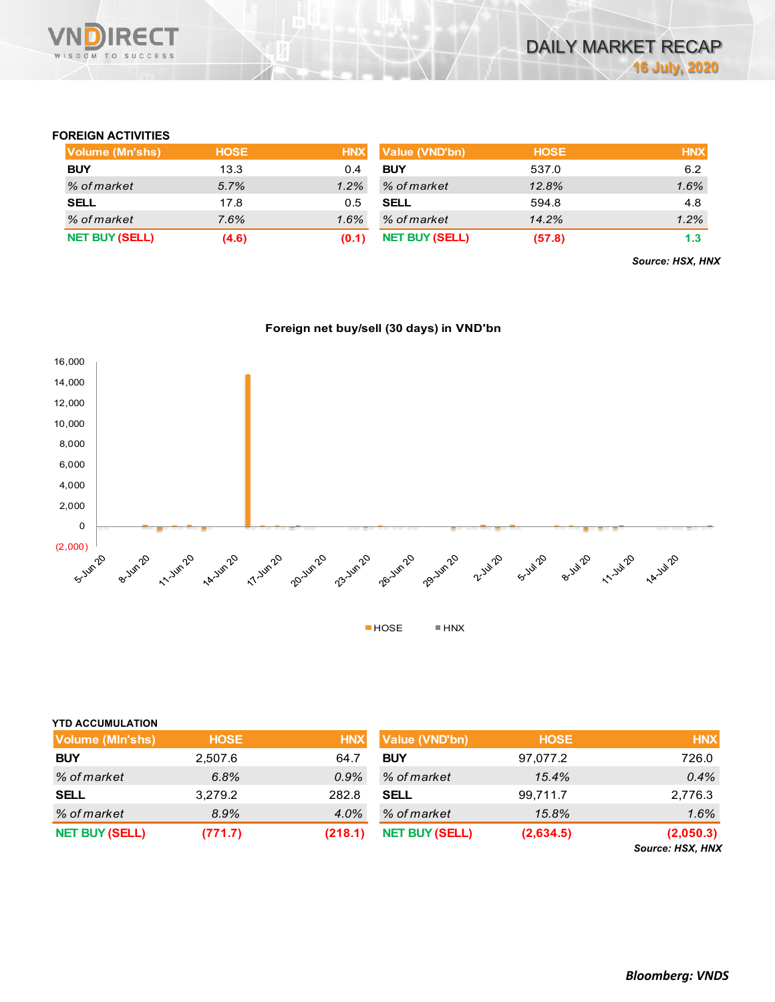

### **FOREIGN ACTIVITIES**

| Volume (Mn'shs)       | <b>HOSE</b> | <b>HNX</b> | Value (VND'bn)        | <b>HOSE</b> | <b>HNX</b> |
|-----------------------|-------------|------------|-----------------------|-------------|------------|
| <b>BUY</b>            | 13.3        | 0.4        | <b>BUY</b>            | 537.0       | 6.2        |
| % of market           | 5.7%        | 1.2%       | % of market           | 12.8%       | 1.6%       |
| <b>SELL</b>           | 17.8        | 0.5        | <b>SELL</b>           | 594.8       | 4.8        |
| % of market           | 7.6%        | 1.6%       | % of market           | 14.2%       | 1.2%       |
| <b>NET BUY (SELL)</b> | (4.6)       | (0.1)      | <b>NET BUY (SELL)</b> | (57.8)      | 1.3        |

*Source: HSX, HNX*





| <b>YTD ACCUMULATION</b> |             |            |                       |             |                               |
|-------------------------|-------------|------------|-----------------------|-------------|-------------------------------|
| <b>Volume (MIn'shs)</b> | <b>HOSE</b> | <b>HNX</b> | <b>Value (VND'bn)</b> | <b>HOSE</b> | <b>HNX</b>                    |
| <b>BUY</b>              | 2,507.6     | 64.7       | <b>BUY</b>            | 97,077.2    | 726.0                         |
| % of market             | 6.8%        | 0.9%       | % of market           | 15.4%       | 0.4%                          |
| <b>SELL</b>             | 3,279.2     | 282.8      | <b>SELL</b>           | 99,711.7    | 2,776.3                       |
| % of market             | 8.9%        | 4.0%       | % of market           | 15.8%       | 1.6%                          |
| <b>NET BUY (SELL)</b>   | (771.7)     | (218.1)    | <b>NET BUY (SELL)</b> | (2,634.5)   | (2,050.3)<br>Source: HSX, HNX |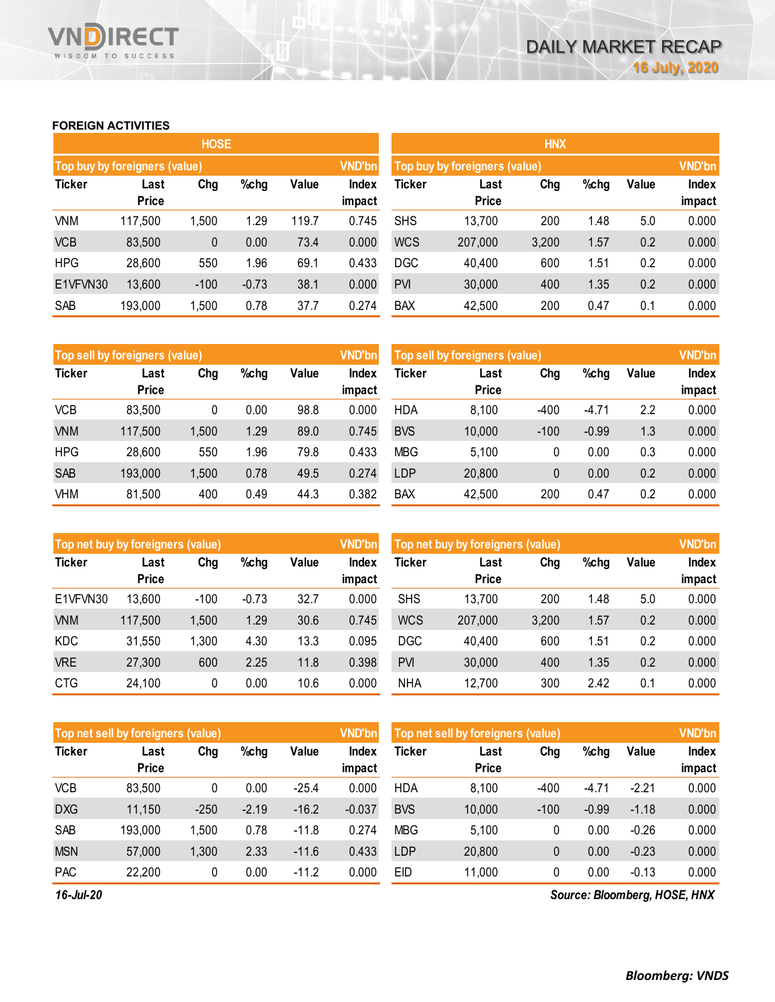### **FOREIGN ACTIVITIES**

WISDOM TO SUCCESS

RECT

|               |                               | <b>HOSE</b> |         |       |               | <b>HNX</b>                    |              |       |      |       |        |  |
|---------------|-------------------------------|-------------|---------|-------|---------------|-------------------------------|--------------|-------|------|-------|--------|--|
|               | Top buy by foreigners (value) |             |         |       | <b>VND'bn</b> | Top buy by foreigners (value) |              |       |      |       |        |  |
| <b>Ticker</b> | Last                          | Chg         | $%$ chg | Value | <b>Index</b>  | Ticker                        | Last         | Chg   | %chg | Value | Index  |  |
|               | <b>Price</b>                  |             |         |       | impact        |                               | <b>Price</b> |       |      |       | impact |  |
| <b>VNM</b>    | 117,500                       | 1,500       | 1.29    | 119.7 | 0.745         | <b>SHS</b>                    | 13,700       | 200   | 1.48 | 5.0   | 0.000  |  |
| <b>VCB</b>    | 83,500                        | 0           | 0.00    | 73.4  | 0.000         | <b>WCS</b>                    | 207,000      | 3,200 | 1.57 | 0.2   | 0.000  |  |
| <b>HPG</b>    | 28,600                        | 550         | 1.96    | 69.1  | 0.433         | <b>DGC</b>                    | 40,400       | 600   | 1.51 | 0.2   | 0.000  |  |
| E1VFVN30      | 13,600                        | $-100$      | $-0.73$ | 38.1  | 0.000         | <b>PVI</b>                    | 30,000       | 400   | 1.35 | 0.2   | 0.000  |  |
| SAB           | 193,000                       | 1,500       | 0.78    | 37.7  | 0.274         | <b>BAX</b>                    | 42,500       | 200   | 0.47 | 0.1   | 0.000  |  |

|               | Top sell by foreigners (value) |       |      |       | <b>VND'bn</b>          | Top sell by foreigners (value), | <b>VND'bn</b>        |        |         |       |                        |
|---------------|--------------------------------|-------|------|-------|------------------------|---------------------------------|----------------------|--------|---------|-------|------------------------|
| <b>Ticker</b> | Last<br><b>Price</b>           | Chg   | %chg | Value | <b>Index</b><br>impact | Ticker                          | Last<br><b>Price</b> | Chg    | %chg    | Value | <b>Index</b><br>impact |
| <b>VCB</b>    | 83,500                         | 0     | 0.00 | 98.8  | 0.000                  | <b>HDA</b>                      | 8,100                | $-400$ | $-4.71$ | 2.2   | 0.000                  |
| <b>VNM</b>    | 117,500                        | 1,500 | 1.29 | 89.0  | 0.745                  | <b>BVS</b>                      | 10,000               | $-100$ | $-0.99$ | 1.3   | 0.000                  |
| <b>HPG</b>    | 28,600                         | 550   | 1.96 | 79.8  | 0.433                  | <b>MBG</b>                      | 5.100                | 0      | 0.00    | 0.3   | 0.000                  |
| <b>SAB</b>    | 193,000                        | 1,500 | 0.78 | 49.5  | 0.274                  | <b>LDP</b>                      | 20,800               | 0      | 0.00    | 0.2   | 0.000                  |
| VHM           | 81,500                         | 400   | 0.49 | 44.3  | 0.382                  | <b>BAX</b>                      | 42,500               | 200    | 0.47    | 0.2   | 0.000                  |

| Top net buy by foreigners (value) |              |        |         |       | <b>VND'bn</b> | Top net buy by foreigners (value) |              | <b>VND'bn</b> |      |       |              |
|-----------------------------------|--------------|--------|---------|-------|---------------|-----------------------------------|--------------|---------------|------|-------|--------------|
| <b>Ticker</b>                     | Chg<br>Last  |        | %chg    | Value | <b>Index</b>  | Ticker                            | Last         | Chg           | %chg | Value | <b>Index</b> |
|                                   | <b>Price</b> |        |         |       | impact        |                                   | <b>Price</b> |               |      |       | impact       |
| E1VFVN30                          | 13,600       | $-100$ | $-0.73$ | 32.7  | 0.000         | <b>SHS</b>                        | 13,700       | 200           | 1.48 | 5.0   | 0.000        |
| <b>VNM</b>                        | 117,500      | 1,500  | 1.29    | 30.6  | 0.745         | <b>WCS</b>                        | 207,000      | 3,200         | 1.57 | 0.2   | 0.000        |
| KDC                               | 31,550       | 1,300  | 4.30    | 13.3  | 0.095         | <b>DGC</b>                        | 40,400       | 600           | 1.51 | 0.2   | 0.000        |
| <b>VRE</b>                        | 27,300       | 600    | 2.25    | 11.8  | 0.398         | <b>PVI</b>                        | 30,000       | 400           | 1.35 | 0.2   | 0.000        |
| <b>CTG</b>                        | 24,100       | 0      | 0.00    | 10.6  | 0.000         | <b>NHA</b>                        | 12,700       | 300           | 2.42 | 0.1   | 0.000        |

|               | Top net sell by foreigners (value) |        |         |         | <b>VND'bn</b>          | Top net sell by foreigners (value) |                      | <b>VND'bn</b> |         |         |                 |
|---------------|------------------------------------|--------|---------|---------|------------------------|------------------------------------|----------------------|---------------|---------|---------|-----------------|
| <b>Ticker</b> | Last<br><b>Price</b>               | Chg    | $%$ chg | Value   | <b>Index</b><br>impact | Ticker                             | Last<br><b>Price</b> | Chg           | %chg    | Value   | Index<br>impact |
| <b>VCB</b>    | 83,500                             | 0      | 0.00    | $-25.4$ | 0.000                  | <b>HDA</b>                         | 8,100                | $-400$        | $-4.71$ | $-2.21$ | 0.000           |
| <b>DXG</b>    | 11,150                             | $-250$ | $-2.19$ | $-16.2$ | $-0.037$               | <b>BVS</b>                         | 10,000               | $-100$        | $-0.99$ | $-1.18$ | 0.000           |
| SAB           | 193,000                            | 1,500  | 0.78    | $-11.8$ | 0.274                  | <b>MBG</b>                         | 5,100                | 0             | 0.00    | $-0.26$ | 0.000           |
| <b>MSN</b>    | 57,000                             | 1,300  | 2.33    | $-11.6$ | 0.433                  | <b>LDP</b>                         | 20,800               | 0             | 0.00    | $-0.23$ | 0.000           |
| <b>PAC</b>    | 22,200                             | 0      | 0.00    | $-11.2$ | 0.000                  | <b>EID</b>                         | 11,000               | 0             | 0.00    | $-0.13$ | 0.000           |

*16-Jul-20*

*Source: Bloomberg, HOSE, HNX*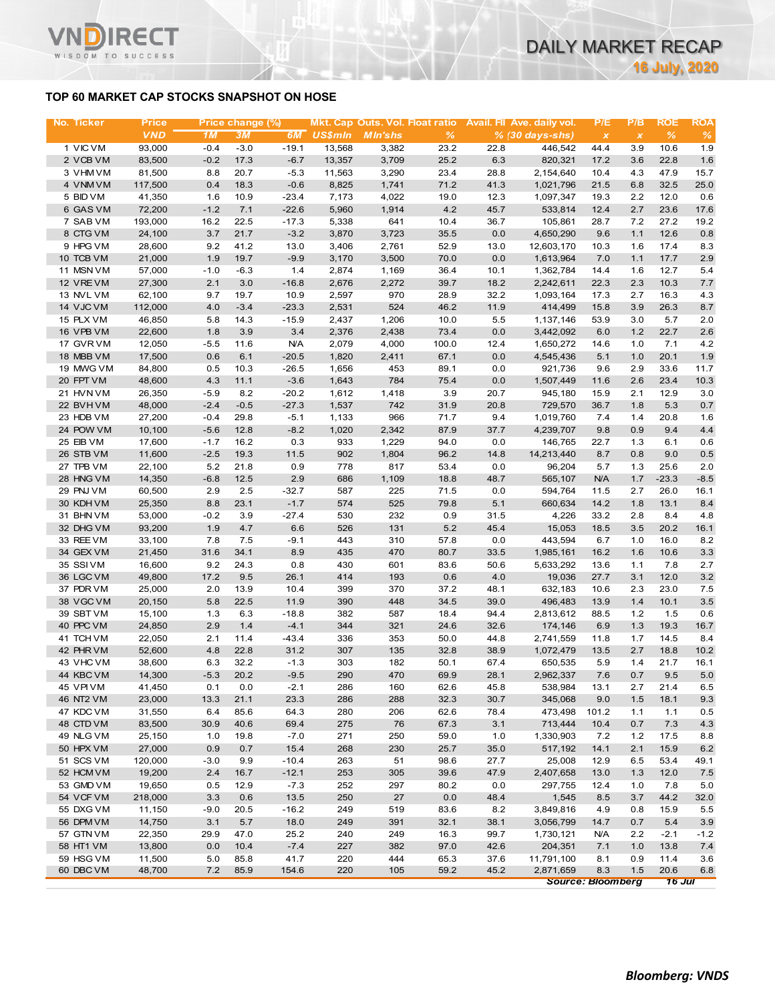### **TOP 60 MARKET CAP STOCKS SNAPSHOT ON HOSE**

ד־

WISDOM TO SUCCESS

| No. Ticker             | <b>Price</b> |        | Price change (%) |            |         |                |       |         | Mkt. Cap Outs. Vol. Float ratio Avail. Fil Ave. daily vol. | P/E          | P/B          | <b>ROE</b>     | <b>ROA</b> |
|------------------------|--------------|--------|------------------|------------|---------|----------------|-------|---------|------------------------------------------------------------|--------------|--------------|----------------|------------|
|                        | <b>VND</b>   | 1M     | 3M               | 6M         | US\$mln | <b>MIn'shs</b> | $\%$  |         | $% (30 days-shs)$                                          | $\pmb{\chi}$ | $\pmb{\chi}$ | $\%$           | $\%$       |
| 1 VIC VM               | 93,000       | $-0.4$ | $-3.0$           | $-19.1$    | 13,568  | 3,382          | 23.2  | 22.8    | 446,542                                                    | 44.4         | 3.9          | 10.6           | 1.9        |
| 2 VCB VM               | 83,500       | $-0.2$ | 17.3             | $-6.7$     | 13,357  | 3,709          | 25.2  | 6.3     | 820,321                                                    | 17.2         | 3.6          | 22.8           | 1.6        |
| 3 VHM VM               | 81,500       | 8.8    | 20.7             | $-5.3$     | 11,563  | 3,290          | 23.4  | 28.8    | 2,154,640                                                  | 10.4         | 4.3          | 47.9           | 15.7       |
| 4 VNM VM               | 117,500      | 0.4    | 18.3             | $-0.6$     | 8,825   | 1,741          | 71.2  | 41.3    | 1,021,796                                                  | 21.5         | 6.8          | 32.5           | 25.0       |
| 5 BID VM               | 41,350       | 1.6    | 10.9             | $-23.4$    | 7,173   | 4,022          | 19.0  | 12.3    | 1,097,347                                                  | 19.3         | 2.2          | 12.0           | 0.6        |
| 6 GAS VM               | 72,200       | $-1.2$ | 7.1              | $-22.6$    | 5,960   | 1,914          | 4.2   | 45.7    | 533,814                                                    | 12.4         | 2.7          | 23.6           | 17.6       |
| 7 SAB VM               | 193,000      | 16.2   | 22.5             | $-17.3$    | 5,338   | 641            | 10.4  | 36.7    | 105,861                                                    | 28.7         | 7.2          | 27.2           | 19.2       |
| 8 CTG VM               | 24,100       | $3.7$  | 21.7             | $-3.2$     | 3,870   | 3,723          | 35.5  | 0.0     | 4,650,290                                                  | 9.6          | 1.1          | 12.6           | 0.8        |
| 9 HPG VM               | 28,600       | 9.2    | 41.2             | 13.0       | 3,406   | 2,761          | 52.9  | 13.0    | 12,603,170                                                 | 10.3         | 1.6          | 17.4           | 8.3        |
| 10 TCB VM              | 21,000       | 1.9    | 19.7             | $-9.9$     | 3,170   | 3,500          | 70.0  | 0.0     | 1,613,964                                                  | 7.0          | 1.1          | 17.7           | 2.9        |
| 11 MSN VM              | 57,000       | $-1.0$ | $-6.3$           | 1.4        | 2,874   | 1,169          | 36.4  | 10.1    | 1,362,784                                                  | 14.4         | 1.6          | 12.7           | 5.4        |
| 12 VREVM               | 27,300       | 2.1    | 3.0              | $-16.8$    | 2,676   | 2,272          | 39.7  | 18.2    | 2,242,611                                                  | 22.3         | 2.3          | 10.3           | 7.7        |
| 13 NVL VM              | 62,100       | 9.7    | 19.7             | 10.9       | 2,597   | 970            | 28.9  | 32.2    | 1,093,164                                                  | 17.3         | 2.7          | 16.3           | 4.3        |
| 14 VJC VM              | 112,000      | 4.0    | $-3.4$           | $-23.3$    | 2,531   | 524            | 46.2  | 11.9    | 414,499                                                    | 15.8         | 3.9          | 26.3           | $8.7\,$    |
| 15 PLX VM              | 46,850       | 5.8    | 14.3             | $-15.9$    | 2,437   | 1,206          | 10.0  | 5.5     | 1,137,146                                                  | 53.9         | 3.0          | 5.7            | 2.0        |
| 16 VPB VM              | 22,600       | 1.8    | 3.9              | 3.4        | 2,376   | 2,438          | 73.4  | $0.0\,$ | 3,442,092                                                  | 6.0          | 1.2          | 22.7           | 2.6        |
| 17 GVR VM              | 12,050       | $-5.5$ | 11.6             | <b>N/A</b> | 2,079   | 4,000          | 100.0 | 12.4    | 1,650,272                                                  | 14.6         | 1.0          | 7.1            | 4.2        |
| 18 MBB VM              | 17,500       | 0.6    | 6.1              | $-20.5$    | 1,820   | 2,411          | 67.1  | 0.0     | 4,545,436                                                  | 5.1          | 1.0          | 20.1           | 1.9        |
| 19 MWG VM              | 84,800       | 0.5    | 10.3             | $-26.5$    | 1,656   | 453            | 89.1  | 0.0     | 921,736                                                    | 9.6          | 2.9          | 33.6           | 11.7       |
| 20 FPT VM              | 48,600       | 4.3    | 11.1             | $-3.6$     | 1,643   | 784            | 75.4  | 0.0     | 1,507,449                                                  | 11.6         | 2.6          | 23.4           | 10.3       |
| 21 HVN VM              | 26,350       | $-5.9$ | 8.2              | $-20.2$    | 1,612   | 1,418          | 3.9   | 20.7    | 945,180                                                    | 15.9         | 2.1          | 12.9           | 3.0        |
| 22 BVHVM               | 48,000       | $-2.4$ | $-0.5$           | $-27.3$    | 1,537   | 742            | 31.9  | 20.8    | 729,570                                                    | 36.7         | 1.8          | 5.3            | 0.7        |
| 23 HDB VM              | 27,200       | $-0.4$ | 29.8             | $-5.1$     | 1,133   | 966            | 71.7  | 9.4     | 1,019,760                                                  | 7.4          | 1.4          | 20.8           | 1.6        |
| 24 POW VM              | 10,100       | $-5.6$ | 12.8             | $-8.2$     | 1,020   | 2,342          | 87.9  | 37.7    | 4,239,707                                                  | 9.8          | 0.9          | 9.4            | 4.4        |
| 25 EIB VM              | 17,600       | $-1.7$ | 16.2             | 0.3        | 933     | 1,229          | 94.0  | 0.0     | 146,765                                                    | 22.7         | 1.3          | 6.1            | 0.6        |
| 26 STB VM              | 11,600       | $-2.5$ | 19.3             | 11.5       | 902     | 1,804          | 96.2  | 14.8    | 14,213,440                                                 | 8.7          | 0.8          | 9.0            | 0.5        |
| 27 TPB VM              | 22,100       | 5.2    | 21.8             | 0.9        | 778     | 817            | 53.4  | 0.0     | 96,204                                                     | 5.7          | 1.3          | 25.6           | 2.0        |
| 28 HNG VM              | 14,350       | $-6.8$ | 12.5             | 2.9        | 686     | 1,109          | 18.8  | 48.7    | 565,107                                                    | <b>N/A</b>   | 1.7          | $-23.3$        | $-8.5$     |
| 29 PNJ VM              | 60,500       | 2.9    | 2.5              | $-32.7$    | 587     | 225            | 71.5  | 0.0     | 594,764                                                    | 11.5         | 2.7          | 26.0           | 16.1       |
| 30 KDH VM              | 25,350       | 8.8    | 23.1             | $-1.7$     | 574     | 525            | 79.8  | 5.1     | 660,634                                                    | 14.2         | 1.8          | 13.1           | 8.4        |
| 31 BHN VM              | 53,000       | $-0.2$ | 3.9              | $-27.4$    | 530     | 232            | 0.9   | 31.5    | 4,226                                                      | 33.2         | 2.8          | 8.4            | 4.8        |
| 32 DHG VM              | 93,200       | 1.9    | 4.7              | 6.6        | 526     | 131            | 5.2   | 45.4    | 15,053                                                     | 18.5         | 3.5          | 20.2           | 16.1       |
| 33 REE VM              | 33,100       | 7.8    | 7.5              | $-9.1$     | 443     | 310            | 57.8  | 0.0     | 443,594                                                    | 6.7          | 1.0          | 16.0           | 8.2        |
| 34 GEX VM              | 21,450       | 31.6   | 34.1             | 8.9        | 435     | 470            | 80.7  | 33.5    | 1,985,161                                                  | 16.2         | 1.6          | 10.6           | 3.3        |
| 35 SSIVM               | 16,600       | 9.2    | 24.3             | 0.8        | 430     | 601            | 83.6  | 50.6    | 5,633,292                                                  | 13.6         | 1.1          | 7.8            | 2.7        |
| 36 LGC VM              | 49,800       | 17.2   | 9.5              | 26.1       | 414     | 193            | 0.6   | 4.0     | 19,036                                                     | 27.7         | 3.1          | 12.0           | 3.2        |
| 37 PDR VM              | 25,000       | 2.0    | 13.9             | 10.4       | 399     | 370            | 37.2  | 48.1    | 632,183                                                    | 10.6         | 2.3          | 23.0           | 7.5        |
| 38 VGC VM              | 20,150       | 5.8    | 22.5             | 11.9       | 390     | 448            | 34.5  | 39.0    | 496,483                                                    | 13.9         | 1.4          | 10.1           | $3.5\,$    |
| 39 SBT VM              | 15,100       | 1.3    | 6.3              | $-18.8$    | 382     | 587            | 18.4  | 94.4    | 2,813,612                                                  | 88.5         | $1.2$        | 1.5            | 0.6        |
| 40 PPC VM              | 24,850       | 2.9    | 1.4              | $-4.1$     | 344     | 321            | 24.6  | 32.6    | 174,146                                                    | 6.9          | 1.3          | 19.3           | 16.7       |
| 41 TCH VM              | 22,050       | 2.1    | 11.4             | $-43.4$    | 336     | 353            | 50.0  | 44.8    | 2,741,559                                                  | 11.8         | 1.7          | 14.5           | 8.4        |
| 42 PHR VM              | 52,600       | 4.8    | 22.8             | 31.2       | 307     | 135            | 32.8  | 38.9    | 1,072,479                                                  | 13.5         | 2.7          | 18.8           | 10.2       |
| 43 VHC VM              | 38,600       | 6.3    | 32.2             | $-1.3$     | 303     | 182            | 50.1  | 67.4    | 650,535                                                    | 5.9          | 1.4          | 21.7           | 16.1       |
| 44 KBC VM              | 14,300       | $-5.3$ | 20.2             | $-9.5$     | 290     | 470            | 69.9  | 28.1    | 2,962,337                                                  | 7.6          | 0.7          | 9.5            | $5.0$      |
| 45 VPI VM              | 41,450       | 0.1    | 0.0              | $-2.1$     | 286     | 160            | 62.6  | 45.8    | 538,984                                                    | 13.1         | 2.7          | 21.4           | 6.5        |
| 46 NT2 VM              | 23,000       | 13.3   | 21.1             | 23.3       | 286     | 288            | 32.3  | 30.7    | 345,068                                                    | 9.0          | 1.5          | 18.1           | 9.3        |
| 47 KDC VM              | 31,550       | 6.4    | 85.6             | 64.3       | 280     | 206            | 62.6  | 78.4    | 473,498                                                    | 101.2        | 1.1          | 1.1            | 0.5        |
| 48 CTD VM              | 83,500       | 30.9   | 40.6             | 69.4       | 275     | 76             | 67.3  | 3.1     | 713,444                                                    | 10.4         | 0.7          | 7.3            | 4.3        |
| 49 NLG VM              | 25,150       | 1.0    | 19.8             | $-7.0$     | 271     | 250            | 59.0  | 1.0     | 1,330,903                                                  | 7.2          | $1.2$        | 17.5           | 8.8        |
| 50 HPX VM              | 27,000       | 0.9    | 0.7              | 15.4       | 268     | 230            | 25.7  | 35.0    | 517,192                                                    | 14.1         | 2.1          | 15.9           | 6.2        |
| 51 SCS VM              | 120,000      | $-3.0$ | 9.9              | $-10.4$    | 263     | 51             | 98.6  | 27.7    | 25,008                                                     | 12.9         | 6.5          | 53.4           | 49.1       |
|                        | 19,200       | 2.4    | 16.7             | $-12.1$    | 253     | 305            | 39.6  | 47.9    | 2,407,658                                                  |              |              | 12.0           |            |
| 52 HCM VM<br>53 GMD VM | 19,650       |        |                  |            |         |                |       |         |                                                            | 13.0         | 1.3          |                | 7.5        |
|                        |              | 0.5    | 12.9             | $-7.3$     | 252     | 297            | 80.2  | 0.0     | 297,755                                                    | 12.4         | 1.0          | 7.8            | 5.0        |
| 54 VCF VM              | 218,000      | 3.3    | 0.6              | 13.5       | 250     | 27             | 0.0   | 48.4    | 1,545                                                      | 8.5          | 3.7          | 44.2           | 32.0       |
| 55 DXG VM              | 11,150       | -9.0   | 20.5             | $-16.2$    | 249     | 519            | 83.6  | 8.2     | 3,849,816                                                  | 4.9          | 0.8          | 15.9           | 5.5        |
| 56 DPM VM              | 14,750       | 3.1    | 5.7              | 18.0       | 249     | 391            | 32.1  | 38.1    | 3,056,799                                                  | 14.7         | 0.7          | 5.4            | 3.9        |
| 57 GTN VM              | 22,350       | 29.9   | 47.0             | 25.2       | 240     | 249            | 16.3  | 99.7    | 1,730,121                                                  | <b>N/A</b>   | 2.2          | $-2.1$         | $-1.2$     |
| 58 HT1 VM              | 13,800       | 0.0    | 10.4             | $-7.4$     | 227     | 382            | 97.0  | 42.6    | 204,351                                                    | 7.1          | 1.0          | 13.8           | 7.4        |
| 59 HSG VM              | 11,500       | 5.0    | 85.8             | 41.7       | 220     | 444            | 65.3  | 37.6    | 11,791,100                                                 | 8.1          | 0.9          | 11.4           | 3.6        |
| 60 DBC VM              | 48,700       | 7.2    | 85.9             | 154.6      | 220     | 105            | 59.2  | 45.2    | 2,871,659<br><b>Source: Bloomberg</b>                      | 8.3          | 1.5          | 20.6<br>16 Jul | 6.8        |
|                        |              |        |                  |            |         |                |       |         |                                                            |              |              |                |            |